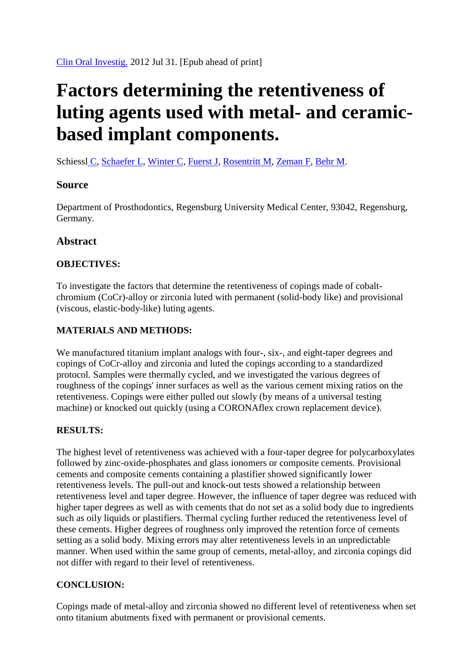# **Factors determining the retentiveness of luting agents used with metal- and ceramicbased implant components.**

[Schiessl](http://www.ncbi.nlm.nih.gov/pubmed?term=Schiessl%20C%5BAuthor%5D&cauthor=true&cauthor_uid=22847855) C, [Schaefer L,](http://www.ncbi.nlm.nih.gov/pubmed?term=Schaefer%20L%5BAuthor%5D&cauthor=true&cauthor_uid=22847855) [Winter C,](http://www.ncbi.nlm.nih.gov/pubmed?term=Winter%20C%5BAuthor%5D&cauthor=true&cauthor_uid=22847855) [Fuerst J,](http://www.ncbi.nlm.nih.gov/pubmed?term=Fuerst%20J%5BAuthor%5D&cauthor=true&cauthor_uid=22847855) [Rosentritt M,](http://www.ncbi.nlm.nih.gov/pubmed?term=Rosentritt%20M%5BAuthor%5D&cauthor=true&cauthor_uid=22847855) [Zeman F,](http://www.ncbi.nlm.nih.gov/pubmed?term=Zeman%20F%5BAuthor%5D&cauthor=true&cauthor_uid=22847855) [Behr M.](http://www.ncbi.nlm.nih.gov/pubmed?term=Behr%20M%5BAuthor%5D&cauthor=true&cauthor_uid=22847855)

## **Source**

Department of Prosthodontics, Regensburg University Medical Center, 93042, Regensburg, Germany.

# **Abstract**

## **OBJECTIVES:**

To investigate the factors that determine the retentiveness of copings made of cobaltchromium (CoCr)-alloy or zirconia luted with permanent (solid-body like) and provisional (viscous, elastic-body-like) luting agents.

#### **MATERIALS AND METHODS:**

We manufactured titanium implant analogs with four-, six-, and eight-taper degrees and copings of CoCr-alloy and zirconia and luted the copings according to a standardized protocol. Samples were thermally cycled, and we investigated the various degrees of roughness of the copings' inner surfaces as well as the various cement mixing ratios on the retentiveness. Copings were either pulled out slowly (by means of a universal testing machine) or knocked out quickly (using a CORONAflex crown replacement device).

#### **RESULTS:**

The highest level of retentiveness was achieved with a four-taper degree for polycarboxylates followed by zinc-oxide-phosphates and glass ionomers or composite cements. Provisional cements and composite cements containing a plastifier showed significantly lower retentiveness levels. The pull-out and knock-out tests showed a relationship between retentiveness level and taper degree. However, the influence of taper degree was reduced with higher taper degrees as well as with cements that do not set as a solid body due to ingredients such as oily liquids or plastifiers. Thermal cycling further reduced the retentiveness level of these cements. Higher degrees of roughness only improved the retention force of cements setting as a solid body. Mixing errors may alter retentiveness levels in an unpredictable manner. When used within the same group of cements, metal-alloy, and zirconia copings did not differ with regard to their level of retentiveness.

# **CONCLUSION:**

Copings made of metal-alloy and zirconia showed no different level of retentiveness when set onto titanium abutments fixed with permanent or provisional cements.